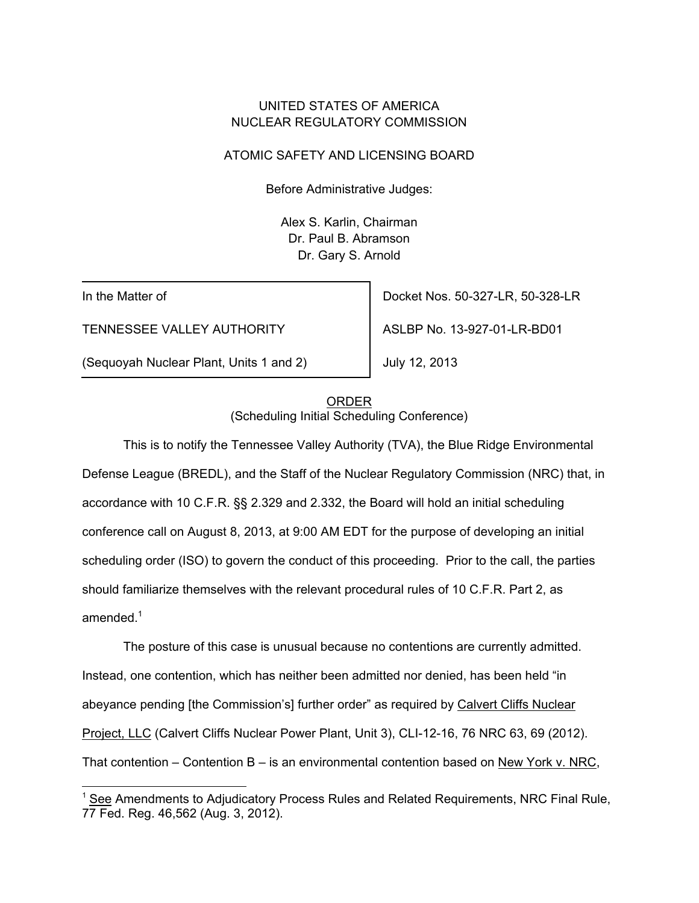## UNITED STATES OF AMERICA NUCLEAR REGULATORY COMMISSION

## ATOMIC SAFETY AND LICENSING BOARD

Before Administrative Judges:

Alex S. Karlin, Chairman Dr. Paul B. Abramson Dr. Gary S. Arnold

In the Matter of

TENNESSEE VALLEY AUTHORITY

(Sequoyah Nuclear Plant, Units 1 and 2)

Docket Nos. 50-327-LR, 50-328-LR

ASLBP No. 13-927-01-LR-BD01

July 12, 2013

## ORDER (Scheduling Initial Scheduling Conference)

 This is to notify the Tennessee Valley Authority (TVA), the Blue Ridge Environmental Defense League (BREDL), and the Staff of the Nuclear Regulatory Commission (NRC) that, in accordance with 10 C.F.R. §§ 2.329 and 2.332, the Board will hold an initial scheduling conference call on August 8, 2013, at 9:00 AM EDT for the purpose of developing an initial scheduling order (ISO) to govern the conduct of this proceeding. Prior to the call, the parties should familiarize themselves with the relevant procedural rules of 10 C.F.R. Part 2, as amended. $^1$ 

 The posture of this case is unusual because no contentions are currently admitted. Instead, one contention, which has neither been admitted nor denied, has been held "in abeyance pending [the Commission's] further order" as required by Calvert Cliffs Nuclear Project, LLC (Calvert Cliffs Nuclear Power Plant, Unit 3), CLI-12-16, 76 NRC 63, 69 (2012). That contention – Contention B – is an environmental contention based on New York v. NRC,

<sup>1</sup> See Amendments to Adjudicatory Process Rules and Related Requirements, NRC Final Rule, 77 Fed. Reg. 46,562 (Aug. 3, 2012).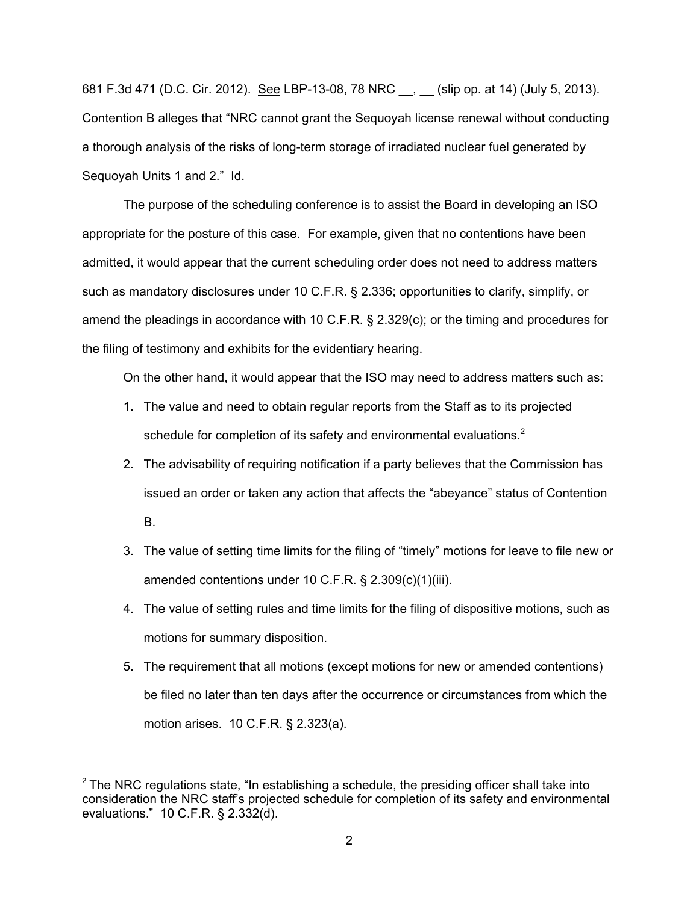681 F.3d 471 (D.C. Cir. 2012). See LBP-13-08, 78 NRC \_\_, \_\_ (slip op. at 14) (July 5, 2013). Contention B alleges that "NRC cannot grant the Sequoyah license renewal without conducting a thorough analysis of the risks of long-term storage of irradiated nuclear fuel generated by Sequoyah Units 1 and 2." Id.

The purpose of the scheduling conference is to assist the Board in developing an ISO appropriate for the posture of this case. For example, given that no contentions have been admitted, it would appear that the current scheduling order does not need to address matters such as mandatory disclosures under 10 C.F.R. § 2.336; opportunities to clarify, simplify, or amend the pleadings in accordance with 10 C.F.R. § 2.329(c); or the timing and procedures for the filing of testimony and exhibits for the evidentiary hearing.

On the other hand, it would appear that the ISO may need to address matters such as:

- 1. The value and need to obtain regular reports from the Staff as to its projected schedule for completion of its safety and environmental evaluations. $2$
- 2. The advisability of requiring notification if a party believes that the Commission has issued an order or taken any action that affects the "abeyance" status of Contention B.
- 3. The value of setting time limits for the filing of "timely" motions for leave to file new or amended contentions under 10 C.F.R. § 2.309(c)(1)(iii).
- 4. The value of setting rules and time limits for the filing of dispositive motions, such as motions for summary disposition.
- 5. The requirement that all motions (except motions for new or amended contentions) be filed no later than ten days after the occurrence or circumstances from which the motion arises. 10 C.F.R. § 2.323(a).

 $\overline{a}$ 

 $2$  The NRC regulations state, "In establishing a schedule, the presiding officer shall take into consideration the NRC staff's projected schedule for completion of its safety and environmental evaluations." 10 C.F.R. § 2.332(d).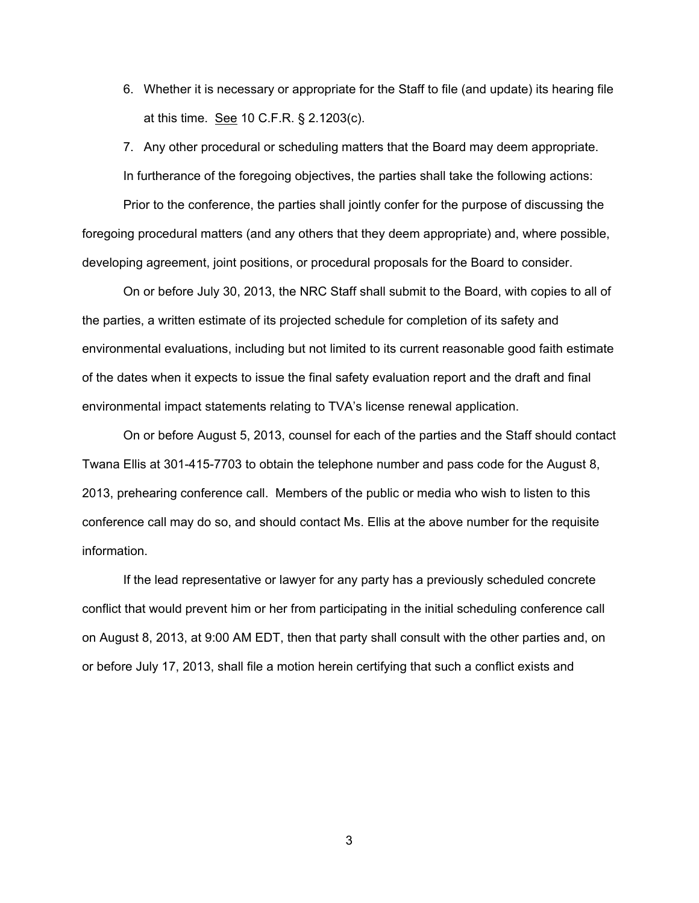6. Whether it is necessary or appropriate for the Staff to file (and update) its hearing file at this time. See 10 C.F.R. § 2.1203(c).

7. Any other procedural or scheduling matters that the Board may deem appropriate. In furtherance of the foregoing objectives, the parties shall take the following actions:

Prior to the conference, the parties shall jointly confer for the purpose of discussing the foregoing procedural matters (and any others that they deem appropriate) and, where possible, developing agreement, joint positions, or procedural proposals for the Board to consider.

On or before July 30, 2013, the NRC Staff shall submit to the Board, with copies to all of the parties, a written estimate of its projected schedule for completion of its safety and environmental evaluations, including but not limited to its current reasonable good faith estimate of the dates when it expects to issue the final safety evaluation report and the draft and final environmental impact statements relating to TVA's license renewal application.

On or before August 5, 2013, counsel for each of the parties and the Staff should contact Twana Ellis at 301-415-7703 to obtain the telephone number and pass code for the August 8, 2013, prehearing conference call. Members of the public or media who wish to listen to this conference call may do so, and should contact Ms. Ellis at the above number for the requisite information.

If the lead representative or lawyer for any party has a previously scheduled concrete conflict that would prevent him or her from participating in the initial scheduling conference call on August 8, 2013, at 9:00 AM EDT, then that party shall consult with the other parties and, on or before July 17, 2013, shall file a motion herein certifying that such a conflict exists and

3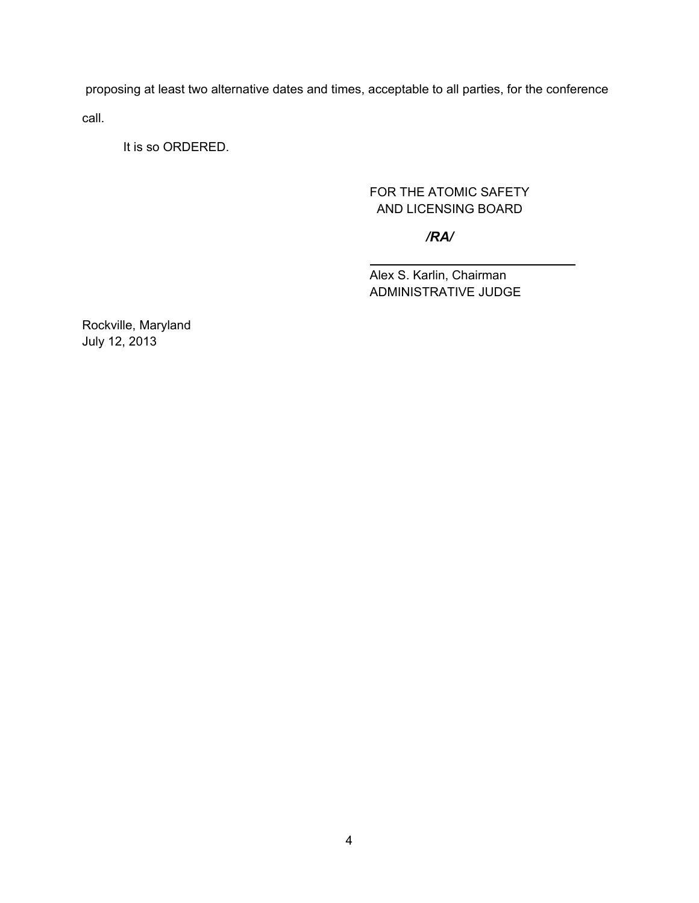proposing at least two alternative dates and times, acceptable to all parties, for the conference call.

It is so ORDERED.

# FOR THE ATOMIC SAFETY AND LICENSING BOARD

## */RA/*

 Alex S. Karlin, Chairman ADMINISTRATIVE JUDGE

Rockville, Maryland July 12, 2013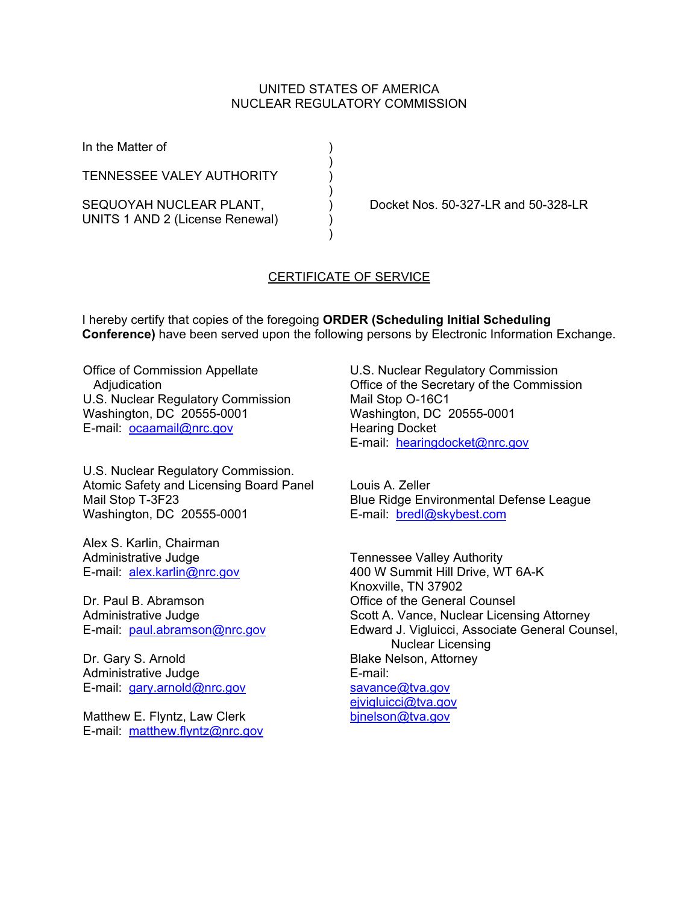#### UNITED STATES OF AMERICA NUCLEAR REGULATORY COMMISSION

In the Matter of (1)

**TENNESSEE VALEY AUTHORITY** 

 $)$ 

 $)$ 

 $)$ 

UNITS 1 AND 2 (License Renewal) )

SEQUOYAH NUCLEAR PLANT,  $D$  Docket Nos. 50-327-LR and 50-328-LR

### CERTIFICATE OF SERVICE

I hereby certify that copies of the foregoing **ORDER (Scheduling Initial Scheduling Conference)** have been served upon the following persons by Electronic Information Exchange.

Office of Commission Appellate **Adjudication** U.S. Nuclear Regulatory Commission Washington, DC 20555-0001 E-mail: ocaamail@nrc.gov

U.S. Nuclear Regulatory Commission. Atomic Safety and Licensing Board Panel Mail Stop T-3F23 Washington, DC 20555-0001

Alex S. Karlin, Chairman Administrative Judge E-mail: alex.karlin@nrc.gov

Dr. Paul B. Abramson Administrative Judge E-mail: paul.abramson@nrc.gov

Dr. Gary S. Arnold Administrative Judge E-mail: gary.arnold@nrc.gov

Matthew E. Flyntz, Law Clerk E-mail: matthew.flyntz@nrc.gov U.S. Nuclear Regulatory Commission Office of the Secretary of the Commission Mail Stop O-16C1 Washington, DC 20555-0001 Hearing Docket E-mail: hearingdocket@nrc.gov

Louis A. Zeller Blue Ridge Environmental Defense League E-mail: bredl@skybest.com

Tennessee Valley Authority 400 W Summit Hill Drive, WT 6A-K Knoxville, TN 37902 Office of the General Counsel Scott A. Vance, Nuclear Licensing Attorney Edward J. Vigluicci, Associate General Counsel, Nuclear Licensing Blake Nelson, Attorney E-mail: savance@tva.gov ejvigluicci@tva.gov bjnelson@tva.gov